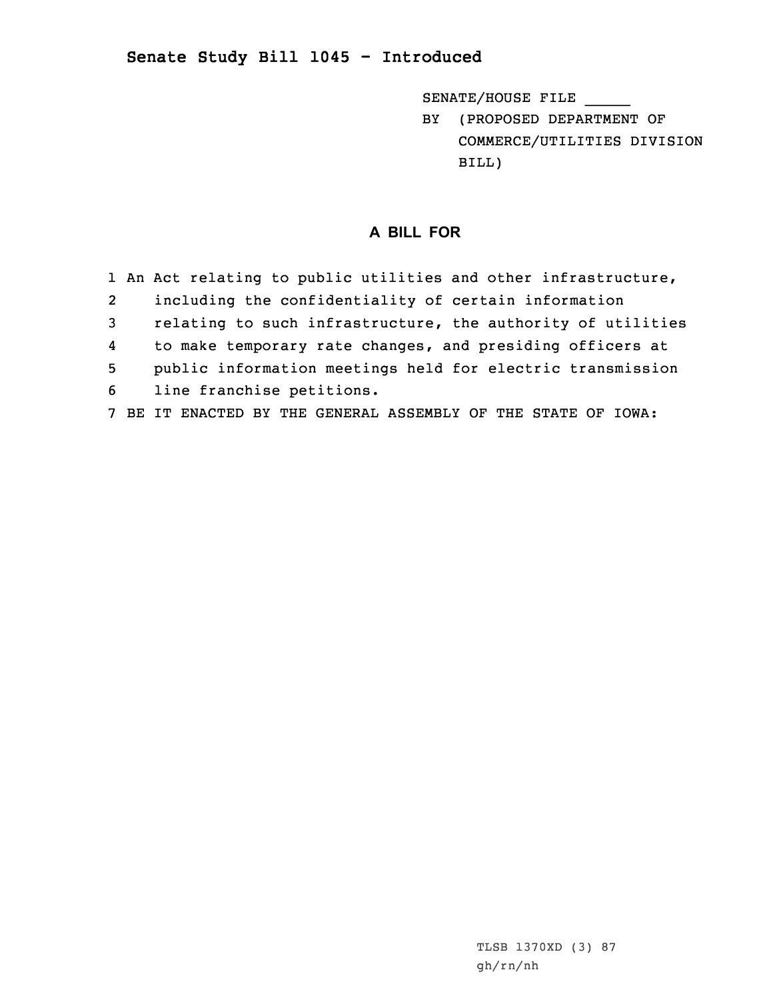## **Senate Study Bill 1045 - Introduced**

SENATE/HOUSE FILE \_\_\_\_\_

BY (PROPOSED DEPARTMENT OF COMMERCE/UTILITIES DIVISION BILL)

## **A BILL FOR**

- 1 An Act relating to public utilities and other infrastructure, 2 including the confidentiality of certain information 3 relating to such infrastructure, the authority of utilities 4 to make temporary rate changes, and presiding officers at 5 public information meetings held for electric transmission 6 line franchise petitions.
- 7 BE IT ENACTED BY THE GENERAL ASSEMBLY OF THE STATE OF IOWA: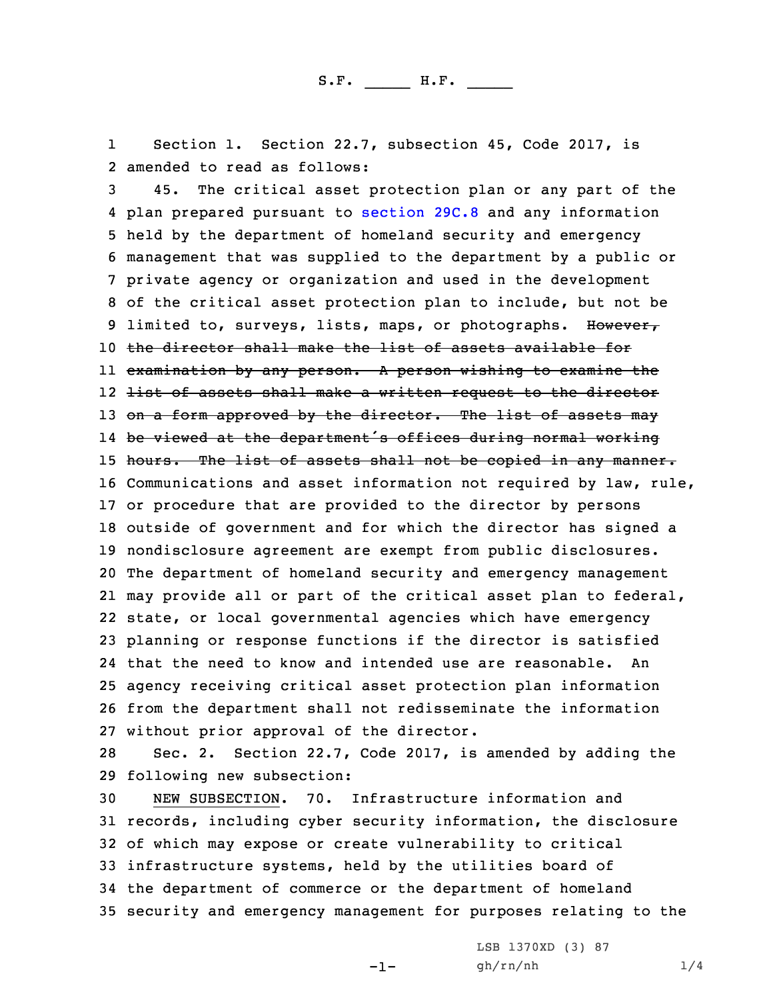1 Section 1. Section 22.7, subsection 45, Code 2017, is 2 amended to read as follows:

 45. The critical asset protection plan or any part of the plan prepared pursuant to [section](https://www.legis.iowa.gov/docs/code/2017/29C.8.pdf) 29C.8 and any information held by the department of homeland security and emergency management that was supplied to the department by <sup>a</sup> public or private agency or organization and used in the development of the critical asset protection plan to include, but not be 9 limited to, surveys, lists, maps, or photographs. However, the director shall make the list of assets available for ll <del>examination by any person. A person wishing to examine the</del> 12 <del>list of assets shall make a written request to the director</del> 13 on a form approved by the director. The list of assets may be viewed at the department's offices during normal working 15 hours. The list of assets shall not be copied in any manner. Communications and asset information not required by law, rule, or procedure that are provided to the director by persons outside of government and for which the director has signed <sup>a</sup> nondisclosure agreement are exempt from public disclosures. The department of homeland security and emergency management may provide all or part of the critical asset plan to federal, state, or local governmental agencies which have emergency planning or response functions if the director is satisfied that the need to know and intended use are reasonable. An agency receiving critical asset protection plan information from the department shall not redisseminate the information without prior approval of the director.

28 Sec. 2. Section 22.7, Code 2017, is amended by adding the 29 following new subsection:

 NEW SUBSECTION. 70. Infrastructure information and records, including cyber security information, the disclosure of which may expose or create vulnerability to critical infrastructure systems, held by the utilities board of the department of commerce or the department of homeland security and emergency management for purposes relating to the

 $-1-$ 

LSB 1370XD (3) 87 gh/rn/nh 1/4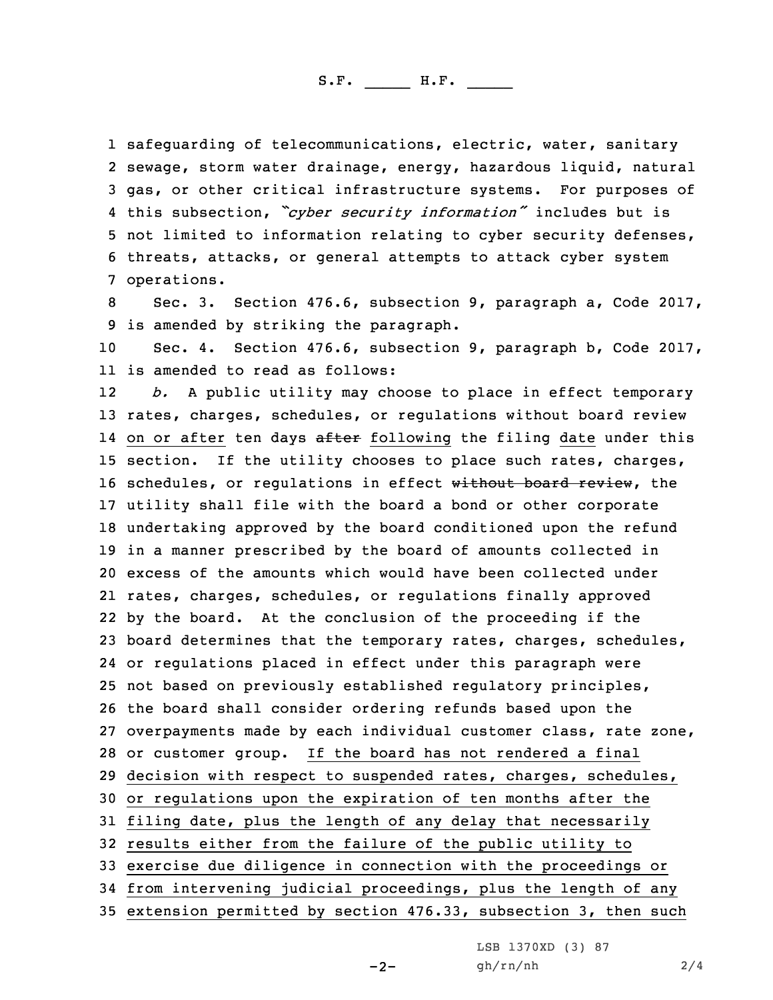S.F. \_\_\_\_\_ H.F. \_\_\_\_

 safeguarding of telecommunications, electric, water, sanitary sewage, storm water drainage, energy, hazardous liquid, natural gas, or other critical infrastructure systems. For purposes of this subsection, *"cyber security information"* includes but is not limited to information relating to cyber security defenses, threats, attacks, or general attempts to attack cyber system operations.

8 Sec. 3. Section 476.6, subsection 9, paragraph a, Code 2017, 9 is amended by striking the paragraph.

10 Sec. 4. Section 476.6, subsection 9, paragraph b, Code 2017, 11 is amended to read as follows:

12 *b.* <sup>A</sup> public utility may choose to place in effect temporary rates, charges, schedules, or regulations without board review 14 on or after ten days <del>after</del> following the filing date under this section. If the utility chooses to place such rates, charges, 16 schedules, or regulations in effect without board review, the utility shall file with the board <sup>a</sup> bond or other corporate undertaking approved by the board conditioned upon the refund in <sup>a</sup> manner prescribed by the board of amounts collected in excess of the amounts which would have been collected under rates, charges, schedules, or regulations finally approved by the board. At the conclusion of the proceeding if the board determines that the temporary rates, charges, schedules, or regulations placed in effect under this paragraph were not based on previously established regulatory principles, the board shall consider ordering refunds based upon the overpayments made by each individual customer class, rate zone, or customer group. If the board has not rendered <sup>a</sup> final decision with respect to suspended rates, charges, schedules, or regulations upon the expiration of ten months after the filing date, plus the length of any delay that necessarily results either from the failure of the public utility to exercise due diligence in connection with the proceedings or from intervening judicial proceedings, plus the length of any extension permitted by section 476.33, subsection 3, then such

 $-2-$ 

LSB 1370XD (3) 87 gh/rn/nh 2/4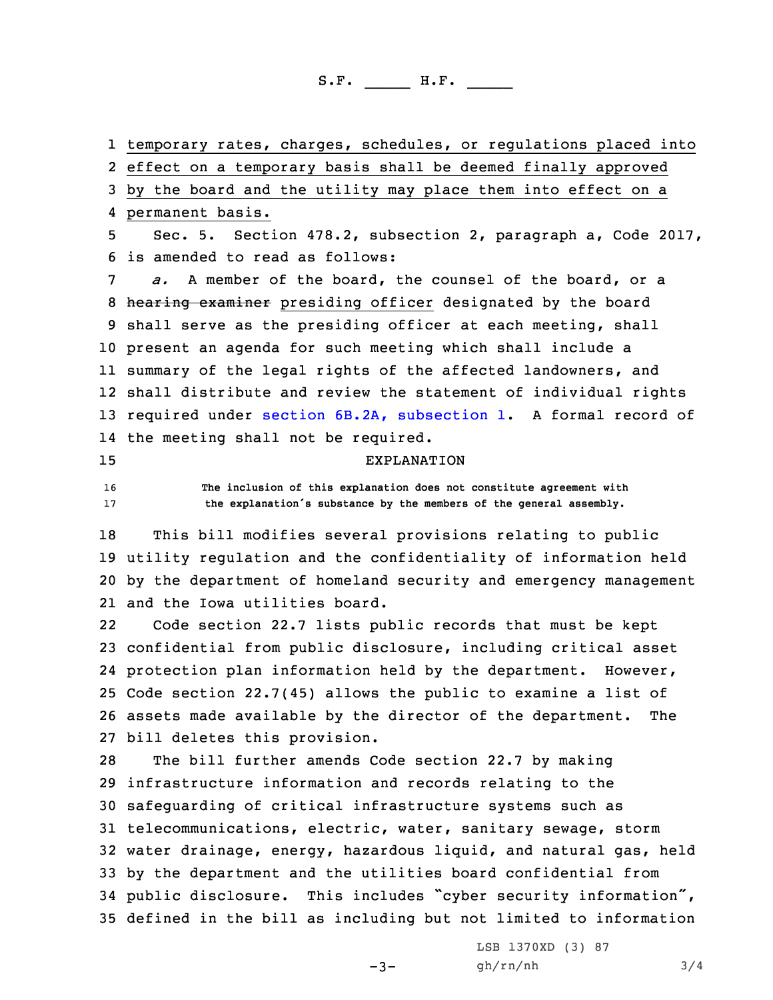S.F. \_\_\_\_\_ H.F. \_\_\_\_

1 temporary rates, charges, schedules, or regulations placed into

2 effect on <sup>a</sup> temporary basis shall be deemed finally approved

 by the board and the utility may place them into effect on <sup>a</sup> permanent basis. Sec. 5. Section 478.2, subsection 2, paragraph a, Code 2017, is amended to read as follows: *a.* A member of the board, the counsel of the board, or <sup>a</sup> 8 hearing examiner presiding officer designated by the board shall serve as the presiding officer at each meeting, shall present an agenda for such meeting which shall include <sup>a</sup> summary of the legal rights of the affected landowners, and shall distribute and review the statement of individual rights required under section 6B.2A, [subsection](https://www.legis.iowa.gov/docs/code/2017/6B.2A.pdf) 1. <sup>A</sup> formal record of the meeting shall not be required. EXPLANATION **The inclusion of this explanation does not constitute agreement with the explanation's substance by the members of the general assembly.** This bill modifies several provisions relating to public utility regulation and the confidentiality of information held by the department of homeland security and emergency management and the Iowa utilities board. 22 Code section 22.7 lists public records that must be kept confidential from public disclosure, including critical asset protection plan information held by the department. However, Code section 22.7(45) allows the public to examine <sup>a</sup> list of assets made available by the director of the department. The bill deletes this provision. The bill further amends Code section 22.7 by making infrastructure information and records relating to the safeguarding of critical infrastructure systems such as telecommunications, electric, water, sanitary sewage, storm water drainage, energy, hazardous liquid, and natural gas, held by the department and the utilities board confidential from public disclosure. This includes "cyber security information",

35 defined in the bill as including but not limited to information

 $-3-$ 

LSB 1370XD (3) 87 gh/rn/nh 3/4